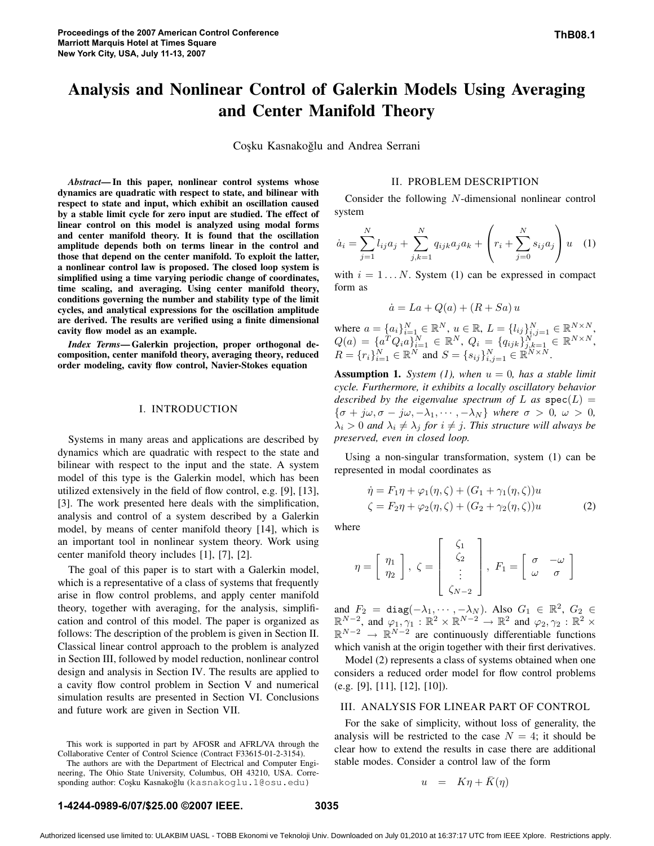# **Analysis and Nonlinear Control of Galerkin Models Using Averaging and Center Manifold Theory**

Coşku Kasnakoğlu and Andrea Serrani

*Abstract***—In this paper, nonlinear control systems whose dynamics are quadratic with respect to state, and bilinear with respect to state and input, which exhibit an oscillation caused by a stable limit cycle for zero input are studied. The effect of linear control on this model is analyzed using modal forms and center manifold theory. It is found that the oscillation amplitude depends both on terms linear in the control and those that depend on the center manifold. To exploit the latter, a nonlinear control law is proposed. The closed loop system is simplified using a time varying periodic change of coordinates, time scaling, and averaging. Using center manifold theory, conditions governing the number and stability type of the limit cycles, and analytical expressions for the oscillation amplitude are derived. The results are verified using a finite dimensional cavity flow model as an example.**

*Index Terms***—Galerkin projection, proper orthogonal decomposition, center manifold theory, averaging theory, reduced order modeling, cavity flow control, Navier-Stokes equation**

## I. INTRODUCTION

Systems in many areas and applications are described by dynamics which are quadratic with respect to the state and bilinear with respect to the input and the state. A system model of this type is the Galerkin model, which has been utilized extensively in the field of flow control, e.g. [9], [13], [3]. The work presented here deals with the simplification, analysis and control of a system described by a Galerkin model, by means of center manifold theory [14], which is an important tool in nonlinear system theory. Work using center manifold theory includes [1], [7], [2].

The goal of this paper is to start with a Galerkin model, which is a representative of a class of systems that frequently arise in flow control problems, and apply center manifold theory, together with averaging, for the analysis, simplification and control of this model. The paper is organized as follows: The description of the problem is given in Section II. Classical linear control approach to the problem is analyzed in Section III, followed by model reduction, nonlinear control design and analysis in Section IV. The results are applied to a cavity flow control problem in Section V and numerical simulation results are presented in Section VI. Conclusions and future work are given in Section VII.

This work is supported in part by AFOSR and AFRL/VA through the Collaborative Center of Control Science (Contract F33615-01-2-3154).

The authors are with the Department of Electrical and Computer Engineering, The Ohio State University, Columbus, OH 43210, USA. Corresponding author: Coşku Kasnakoğlu (kasnakoglu.1@osu.edu)

## II. PROBLEM DESCRIPTION

Consider the following N-dimensional nonlinear control system

$$
\dot{a}_i = \sum_{j=1}^N l_{ij} a_j + \sum_{j,k=1}^N q_{ijk} a_j a_k + \left( r_i + \sum_{j=0}^N s_{ij} a_j \right) u \quad (1)
$$

with  $i = 1...N$ . System (1) can be expressed in compact form as

$$
\dot{a} = La + Q(a) + (R + Sa) u
$$

where  $a = \{a_i\}_{i=1}^N \in \mathbb{R}^N$ ,  $u \in \mathbb{R}$ ,  $L = \{l_{ij}\}_{i,j=1}^N \in \mathbb{R}^{N \times N}$ ,  $Q(a) = \{a^T Q_i a\}_{i=1}^N \in \mathbb{R}^N, \ Q_i = \{q_{ijk}\}_{j,k=1}^{N^{*,j}} \in \mathbb{R}^{N \times N},$  $R = \{r_i\}_{i=1}^N \in \mathbb{R}^N$  and  $S = \{s_{ij}\}_{i,j=1}^N \in \mathbb{R}^{N \times N}$ .

**Assumption 1.** *System* (1), *when*  $u = 0$ *, has a stable limit cycle. Furthermore, it exhibits a locally oscillatory behavior described by the eigenvalue spectrum of* L *as*  $spec(L)$  =  ${\sigma + j\omega, \sigma - j\omega, -\lambda_1, \cdots, -\lambda_N}$  where  $\sigma > 0, \omega > 0$ ,  $\lambda_i > 0$  *and*  $\lambda_i \neq \lambda_j$  *for*  $i \neq j$ *. This structure will always be preserved, even in closed loop.*

Using a non-singular transformation, system (1) can be represented in modal coordinates as

$$
\dot{\eta} = F_1 \eta + \varphi_1(\eta, \zeta) + (G_1 + \gamma_1(\eta, \zeta))u
$$
  

$$
\zeta = F_2 \eta + \varphi_2(\eta, \zeta) + (G_2 + \gamma_2(\eta, \zeta))u
$$
 (2)

where

$$
\eta = \left[ \begin{array}{c} \eta_1 \\ \eta_2 \end{array} \right], \ \zeta = \left[ \begin{array}{c} \zeta_1 \\ \zeta_2 \\ \vdots \\ \zeta_{N-2} \end{array} \right], \ F_1 = \left[ \begin{array}{cc} \sigma & -\omega \\ \omega & \sigma \end{array} \right]
$$

and  $F_2 = \text{diag}(-\lambda_1, \cdots, -\lambda_N)$ . Also  $G_1 \in \mathbb{R}^2$ ,  $G_2 \in$  $\mathbb{R}^{N-2}$ , and  $\varphi_1, \gamma_1 : \mathbb{R}^2 \times \mathbb{R}^{N-2} \to \mathbb{R}^2$  and  $\varphi_2, \gamma_2 : \mathbb{R}^2 \times$  $\mathbb{R}^{N-2} \rightarrow \mathbb{R}^{N-2}$  are continuously differentiable functions which vanish at the origin together with their first derivatives.

Model (2) represents a class of systems obtained when one considers a reduced order model for flow control problems (e.g. [9], [11], [12], [10]).

### III. ANALYSIS FOR LINEAR PART OF CONTROL

For the sake of simplicity, without loss of generality, the analysis will be restricted to the case  $N = 4$ ; it should be clear how to extend the results in case there are additional stable modes. Consider a control law of the form

$$
u = K\eta + \bar{K}(\eta)
$$

## **1-4244-0989-6/07/\$25.00 ©2007 IEEE. 3035**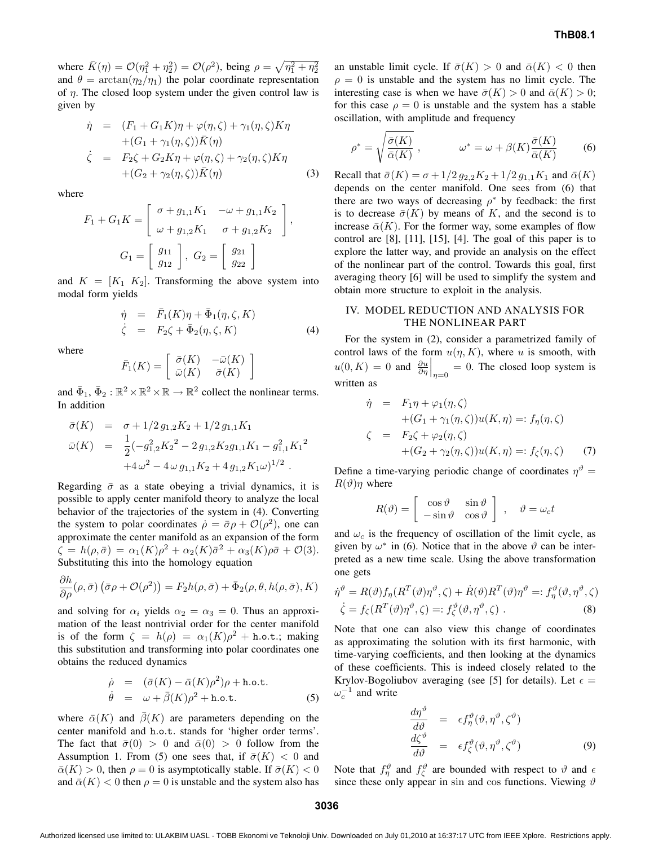where  $\bar{K}(\eta) = \mathcal{O}(\eta_1^2 + \eta_2^2) = \mathcal{O}(\rho^2)$ , being  $\rho = \sqrt{\eta_1^2 + \eta_2^2}$ and  $\theta = \arctan(\eta_2/\eta_1)$  the polar coordinate representation of  $\eta$ . The closed loop system under the given control law is given by

$$
\dot{\eta} = (F_1 + G_1 K)\eta + \varphi(\eta, \zeta) + \gamma_1(\eta, \zeta) K \eta \n+ (G_1 + \gamma_1(\eta, \zeta)) \bar{K}(\eta) \n\dot{\zeta} = F_2 \zeta + G_2 K \eta + \varphi(\eta, \zeta) + \gamma_2(\eta, \zeta) K \eta \n+ (G_2 + \gamma_2(\eta, \zeta)) \bar{K}(\eta)
$$
\n(3)

where

$$
F_1 + G_1 K = \begin{bmatrix} \sigma + g_{1,1} K_1 & -\omega + g_{1,1} K_2 \\ \omega + g_{1,2} K_1 & \sigma + g_{1,2} K_2 \end{bmatrix},
$$

$$
G_1 = \begin{bmatrix} g_{11} \\ g_{12} \end{bmatrix}, G_2 = \begin{bmatrix} g_{21} \\ g_{22} \end{bmatrix}
$$

and  $K = [K_1 \ K_2]$ . Transforming the above system into modal form yields

$$
\dot{\eta} = \bar{F}_1(K)\eta + \bar{\Phi}_1(\eta, \zeta, K) \n\dot{\zeta} = F_2\zeta + \bar{\Phi}_2(\eta, \zeta, K)
$$
\n(4)

where

$$
\bar{F}_1(K) = \left[ \begin{array}{cc} \bar{\sigma}(K) & -\bar{\omega}(K) \\ \bar{\omega}(K) & \bar{\sigma}(K) \end{array} \right]
$$

and  $\bar{\Phi}_1$ ,  $\bar{\Phi}_2 : \mathbb{R}^2 \times \mathbb{R}^2 \times \mathbb{R} \to \mathbb{R}^2$  collect the nonlinear terms. In addition

$$
\bar{\sigma}(K) = \sigma + 1/2 g_{1,2} K_2 + 1/2 g_{1,1} K_1
$$
  
\n
$$
\bar{\omega}(K) = \frac{1}{2} (-g_{1,2}^2 K_2^2 - 2 g_{1,2} K_2 g_{1,1} K_1 - g_{1,1}^2 K_1^2 + 4 \omega^2 - 4 \omega g_{1,1} K_2 + 4 g_{1,2} K_1 \omega)^{1/2}.
$$

Regarding  $\bar{\sigma}$  as a state obeying a trivial dynamics, it is possible to apply center manifold theory to analyze the local behavior of the trajectories of the system in (4). Converting the system to polar coordinates  $\dot{\rho} = \bar{\sigma}\rho + \mathcal{O}(\rho^2)$ , one can approximate the center manifold as an expansion of the form  $\zeta = h(\rho, \bar{\sigma}) = \alpha_1(K)\rho^2 + \alpha_2(K)\bar{\sigma}^2 + \alpha_3(K)\rho\bar{\sigma} + \mathcal{O}(3).$ Substituting this into the homology equation

$$
\frac{\partial h}{\partial \rho}(\rho, \bar{\sigma}) \left( \bar{\sigma} \rho + \mathcal{O}(\rho^2) \right) = F_2 h(\rho, \bar{\sigma}) + \bar{\Phi}_2(\rho, \theta, h(\rho, \bar{\sigma}), K)
$$

and solving for  $\alpha_i$  yields  $\alpha_2 = \alpha_3 = 0$ . Thus an approximation of the least nontrivial order for the center manifold is of the form  $\zeta = h(\rho) = \alpha_1(K)\rho^2 + \text{h.o.t.};$  making this substitution and transforming into polar coordinates one obtains the reduced dynamics

$$
\dot{\rho} = (\bar{\sigma}(K) - \bar{\alpha}(K)\rho^2)\rho + \text{h.o.t.}
$$
  
\n
$$
\dot{\theta} = \omega + \bar{\beta}(K)\rho^2 + \text{h.o.t.}
$$
 (5)

where  $\bar{\alpha}(K)$  and  $\bar{\beta}(K)$  are parameters depending on the center manifold and h.o.t. stands for 'higher order terms'. The fact that  $\bar{\sigma}(0) > 0$  and  $\bar{\alpha}(0) > 0$  follow from the Assumption 1. From (5) one sees that, if  $\bar{\sigma}(K) < 0$  and  $\bar{\alpha}(K) > 0$ , then  $\rho = 0$  is asymptotically stable. If  $\bar{\sigma}(K) < 0$ and  $\bar{\alpha}(K)$  < 0 then  $\rho = 0$  is unstable and the system also has an unstable limit cycle. If  $\bar{\sigma}(K) > 0$  and  $\bar{\alpha}(K) < 0$  then  $\rho = 0$  is unstable and the system has no limit cycle. The interesting case is when we have  $\bar{\sigma}(K) > 0$  and  $\bar{\alpha}(K) > 0$ ; for this case  $\rho = 0$  is unstable and the system has a stable oscillation, with amplitude and frequency

$$
\rho^* = \sqrt{\frac{\bar{\sigma}(K)}{\bar{\alpha}(K)}} \,, \qquad \qquad \omega^* = \omega + \beta(K) \frac{\bar{\sigma}(K)}{\bar{\alpha}(K)} \tag{6}
$$

Recall that  $\bar{\sigma}(K) = \sigma + 1/2 g_{2,2}K_2 + 1/2 g_{1,1}K_1$  and  $\bar{\alpha}(K)$ depends on the center manifold. One sees from (6) that there are two ways of decreasing  $\rho^*$  by feedback: the first is to decrease  $\bar{\sigma}(K)$  by means of K, and the second is to increase  $\bar{\alpha}(K)$ . For the former way, some examples of flow control are [8], [11], [15], [4]. The goal of this paper is to explore the latter way, and provide an analysis on the effect of the nonlinear part of the control. Towards this goal, first averaging theory [6] will be used to simplify the system and obtain more structure to exploit in the analysis.

## IV. MODEL REDUCTION AND ANALYSIS FOR THE NONLINEAR PART

For the system in (2), consider a parametrized family of control laws of the form  $u(\eta, K)$ , where u is smooth, with  $u(0, K) = 0$  and  $\frac{\partial u}{\partial \eta}\Big|_{\eta=0} = 0$ . The closed loop system is written as

$$
\dot{\eta} = F_1 \eta + \varphi_1(\eta, \zeta)
$$
  
+
$$
(G_1 + \gamma_1(\eta, \zeta))u(K, \eta) =: f_\eta(\eta, \zeta)
$$
  

$$
\zeta = F_2 \zeta + \varphi_2(\eta, \zeta)
$$
  
+
$$
(G_2 + \gamma_2(\eta, \zeta))u(K, \eta) =: f_\zeta(\eta, \zeta)
$$
(7)

Define a time-varying periodic change of coordinates  $\eta^{\vartheta} =$  $R(\vartheta)\eta$  where

$$
R(\vartheta) = \begin{bmatrix} \cos \vartheta & \sin \vartheta \\ -\sin \vartheta & \cos \vartheta \end{bmatrix}, \quad \vartheta = \omega_c t
$$

and  $\omega_c$  is the frequency of oscillation of the limit cycle, as given by  $\omega^*$  in (6). Notice that in the above  $\vartheta$  can be interpreted as a new time scale. Using the above transformation one gets

$$
\dot{\eta}^{\vartheta} = R(\vartheta) f_{\eta}(R^{T}(\vartheta)\eta^{\vartheta}, \zeta) + \dot{R}(\vartheta)R^{T}(\vartheta)\eta^{\vartheta} =: f_{\eta}^{\vartheta}(\vartheta, \eta^{\vartheta}, \zeta)
$$

$$
\dot{\zeta} = f_{\zeta}(R^{T}(\vartheta)\eta^{\vartheta}, \zeta) =: f_{\zeta}^{\vartheta}(\vartheta, \eta^{\vartheta}, \zeta) .
$$
(8)

Note that one can also view this change of coordinates as approximating the solution with its first harmonic, with time-varying coefficients, and then looking at the dynamics of these coefficients. This is indeed closely related to the Krylov-Bogoliubov averaging (see [5] for details). Let  $\epsilon =$  $\omega_c^{-1}$  and write

$$
\begin{array}{rcl}\n\frac{d\eta^{\vartheta}}{d\vartheta} & = & \epsilon f_{\eta}^{\vartheta}(\vartheta, \eta^{\vartheta}, \zeta^{\vartheta}) \\
\frac{d\zeta^{\vartheta}}{d\vartheta} & = & \epsilon f_{\zeta}^{\vartheta}(\vartheta, \eta^{\vartheta}, \zeta^{\vartheta})\n\end{array} \tag{9}
$$

Note that  $f_{\eta}^{\vartheta}$  and  $f_{\zeta}^{\vartheta}$  are bounded with respect to  $\vartheta$  and  $\epsilon$ since these only appear in sin and cos functions. Viewing  $\vartheta$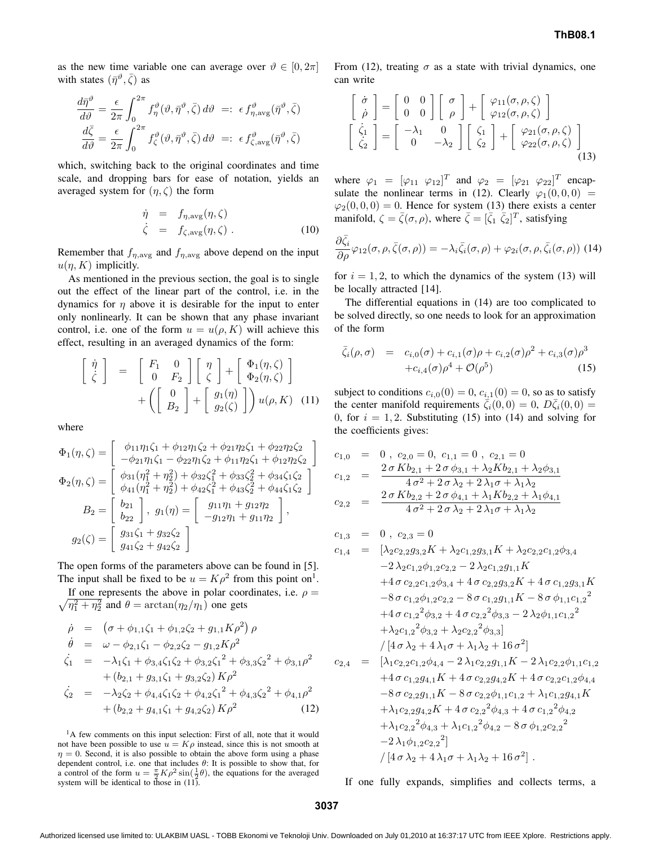as the new time variable one can average over  $\vartheta \in [0, 2\pi]$ with states  $(\bar{\eta}^{\vartheta}, \bar{\zeta})$  as

$$
\frac{d\bar{\eta}^{\vartheta}}{d\vartheta} = \frac{\epsilon}{2\pi} \int_0^{2\pi} f_{\eta}^{\vartheta}(\vartheta, \bar{\eta}^{\vartheta}, \bar{\zeta}) d\vartheta =: \epsilon f_{\eta, \text{avg}}^{\vartheta}(\bar{\eta}^{\vartheta}, \bar{\zeta})
$$

$$
\frac{d\bar{\zeta}}{d\vartheta} = \frac{\epsilon}{2\pi} \int_0^{2\pi} f_{\zeta}^{\vartheta}(\vartheta, \bar{\eta}^{\vartheta}, \bar{\zeta}) d\vartheta =: \epsilon f_{\zeta, \text{avg}}^{\vartheta}(\bar{\eta}^{\vartheta}, \bar{\zeta})
$$

which, switching back to the original coordinates and time scale, and dropping bars for ease of notation, yields an averaged system for  $(\eta, \zeta)$  the form

$$
\dot{\eta} = f_{\eta, \text{avg}}(\eta, \zeta) \n\dot{\zeta} = f_{\zeta, \text{avg}}(\eta, \zeta) .
$$
\n(10)

Remember that  $f_{\eta, \text{avg}}$  and  $f_{\eta, \text{avg}}$  above depend on the input  $u(\eta, K)$  implicitly.

As mentioned in the previous section, the goal is to single out the effect of the linear part of the control, i.e. in the dynamics for  $\eta$  above it is desirable for the input to enter only nonlinearly. It can be shown that any phase invariant control, i.e. one of the form  $u = u(\rho, K)$  will achieve this effect, resulting in an averaged dynamics of the form:

$$
\begin{bmatrix}\n\dot{\eta} \\
\dot{\zeta}\n\end{bmatrix} = \begin{bmatrix}\nF_1 & 0 \\
0 & F_2\n\end{bmatrix} \begin{bmatrix}\n\eta \\
\zeta\n\end{bmatrix} + \begin{bmatrix}\n\Phi_1(\eta, \zeta) \\
\Phi_2(\eta, \zeta)\n\end{bmatrix} + \left(\begin{bmatrix}\n0 \\
B_2\n\end{bmatrix} + \begin{bmatrix}\ng_1(\eta) \\
g_2(\zeta)\n\end{bmatrix}\right) u(\rho, K) \quad (11)
$$

where

$$
\Phi_1(\eta,\zeta) = \begin{bmatrix} \phi_{11}\eta_1\zeta_1 + \phi_{12}\eta_1\zeta_2 + \phi_{21}\eta_2\zeta_1 + \phi_{22}\eta_2\zeta_2 \\ -\phi_{21}\eta_1\zeta_1 - \phi_{22}\eta_1\zeta_2 + \phi_{11}\eta_2\zeta_1 + \phi_{12}\eta_2\zeta_2 \end{bmatrix}
$$

$$
\Phi_2(\eta,\zeta) = \begin{bmatrix} \phi_{31}(\eta_1^2 + \eta_2^2) + \phi_{32}\zeta_1^2 + \phi_{33}\zeta_2^2 + \phi_{34}\zeta_1\zeta_2 \\ \phi_{41}(\eta_1^2 + \eta_2^2) + \phi_{42}\zeta_1^2 + \phi_{43}\zeta_2^2 + \phi_{44}\zeta_1\zeta_2 \end{bmatrix}
$$

$$
B_2 = \begin{bmatrix} b_{21} \\ b_{22} \end{bmatrix}, g_1(\eta) = \begin{bmatrix} g_{11}\eta_1 + g_{12}\eta_2 \\ -g_{12}\eta_1 + g_{11}\eta_2 \end{bmatrix},
$$

$$
g_2(\zeta) = \begin{bmatrix} g_{31}\zeta_1 + g_{32}\zeta_2 \\ g_{41}\zeta_2 + g_{42}\zeta_2 \end{bmatrix}
$$

The open forms of the parameters above can be found in [5]. The input shall be fixed to be  $u = K\rho^2$  from this point on<sup>1</sup>.

 $\sqrt{\eta_1^2 + \eta_2^2}$  and  $\theta = \arctan(\eta_2/\eta_1)$  one gets If one represents the above in polar coordinates, i.e.  $\rho =$ 

$$
\dot{\rho} = (\sigma + \phi_{1,1}\zeta_1 + \phi_{1,2}\zeta_2 + g_{1,1}K\rho^2)\rho
$$
\n
$$
\dot{\theta} = \omega - \phi_{2,1}\zeta_1 - \phi_{2,2}\zeta_2 - g_{1,2}K\rho^2
$$
\n
$$
\dot{\zeta}_1 = -\lambda_1\zeta_1 + \phi_{3,4}\zeta_1\zeta_2 + \phi_{3,2}\zeta_1^2 + \phi_{3,3}\zeta_2^2 + \phi_{3,1}\rho^2
$$
\n
$$
+ (b_{2,1} + g_{3,1}\zeta_1 + g_{3,2}\zeta_2)K\rho^2
$$
\n
$$
\dot{\zeta}_2 = -\lambda_2\zeta_2 + \phi_{4,4}\zeta_1\zeta_2 + \phi_{4,2}\zeta_1^2 + \phi_{4,3}\zeta_2^2 + \phi_{4,1}\rho^2
$$
\n
$$
+ (b_{2,2} + g_{4,1}\zeta_1 + g_{4,2}\zeta_2)K\rho^2
$$
\n(12)

<sup>1</sup>A few comments on this input selection: First of all, note that it would not have been possible to use  $u = K\rho$  instead, since this is not smooth at  $\eta = 0$ . Second, it is also possible to obtain the above form using a phase dependent control, i.e. one that includes  $\theta$ : It is possible to show that, for a control of the form  $u = \frac{\pi}{2} K \rho^2 \sin(\frac{1}{2}\theta)$ , the equations for the averaged system will be identical to those in  $(11)$ .

From (12), treating  $\sigma$  as a state with trivial dynamics, one can write

$$
\begin{bmatrix}\n\dot{\sigma} \\
\dot{\rho}\n\end{bmatrix} = \begin{bmatrix}\n0 & 0 \\
0 & 0\n\end{bmatrix} \begin{bmatrix}\n\sigma \\
\rho\n\end{bmatrix} + \begin{bmatrix}\n\varphi_{11}(\sigma, \rho, \zeta) \\
\varphi_{12}(\sigma, \rho, \zeta)\n\end{bmatrix}
$$
\n
$$
\begin{bmatrix}\n\dot{\zeta}_1 \\
\dot{\zeta}_2\n\end{bmatrix} = \begin{bmatrix}\n-\lambda_1 & 0 \\
0 & -\lambda_2\n\end{bmatrix} \begin{bmatrix}\n\zeta_1 \\
\zeta_2\n\end{bmatrix} + \begin{bmatrix}\n\varphi_{21}(\sigma, \rho, \zeta) \\
\varphi_{22}(\sigma, \rho, \zeta)\n\end{bmatrix}
$$
\n(13)

where  $\varphi_1 = [\varphi_{11} \ \varphi_{12}]^T$  and  $\varphi_2 = [\varphi_{21} \ \varphi_{22}]^T$  encapsulate the nonlinear terms in (12). Clearly  $\varphi_1(0,0,0)$  =  $\varphi_2(0, 0, 0) = 0$ . Hence for system (13) there exists a center manifold,  $\zeta = \bar{\zeta}(\sigma, \rho)$ , where  $\bar{\zeta} = [\bar{\zeta}_1 \ \bar{\zeta}_2]^T$ , satisfying

$$
\frac{\partial \bar{\zeta}_i}{\partial \rho} \varphi_{12}(\sigma, \rho, \bar{\zeta}(\sigma, \rho)) = -\lambda_i \bar{\zeta}_i(\sigma, \rho) + \varphi_{2i}(\sigma, \rho, \bar{\zeta}_i(\sigma, \rho))
$$
(14)

for  $i = 1, 2$ , to which the dynamics of the system (13) will be locally attracted [14].

The differential equations in (14) are too complicated to be solved directly, so one needs to look for an approximation of the form

$$
\bar{\zeta}_i(\rho,\sigma) = c_{i,0}(\sigma) + c_{i,1}(\sigma)\rho + c_{i,2}(\sigma)\rho^2 + c_{i,3}(\sigma)\rho^3 + c_{i,4}(\sigma)\rho^4 + \mathcal{O}(\rho^5)
$$
\n(15)

subject to conditions  $c_{i,0}(0) = 0$ ,  $c_{i,1}(0) = 0$ , so as to satisfy the center manifold requirements  $\vec{\zeta}_i(0,0) = 0$ ,  $D\vec{\zeta}_i(0,0) = 0$ 0, for  $i = 1, 2$ . Substituting (15) into (14) and solving for the coefficients gives:

$$
c_{1,0} = 0, c_{2,0} = 0, c_{1,1} = 0, c_{2,1} = 0
$$
  
\n
$$
c_{1,2} = \frac{2 \sigma K b_{2,1} + 2 \sigma \phi_{3,1} + \lambda_2 K b_{2,1} + \lambda_2 \phi_{3,1}}{4 \sigma^2 + 2 \sigma \lambda_2 + 2 \lambda_1 \sigma + \lambda_1 \lambda_2}
$$
  
\n
$$
c_{2,2} = \frac{2 \sigma K b_{2,2} + 2 \sigma \phi_{4,1} + \lambda_1 K b_{2,2} + \lambda_1 \phi_{4,1}}{4 \sigma^2 + 2 \sigma \lambda_2 + 2 \lambda_1 \sigma + \lambda_1 \lambda_2}
$$

$$
c_{1,3} = 0, c_{2,3} = 0
$$
  
\n
$$
c_{1,4} = [\lambda_2 c_{2,2} g_{3,2} K + \lambda_2 c_{1,2} g_{3,1} K + \lambda_2 c_{2,2} c_{1,2} \phi_{3,4}
$$
  
\n
$$
-2 \lambda_2 c_{1,2} \phi_{1,2} c_{2,2} - 2 \lambda_2 c_{1,2} g_{1,1} K
$$
  
\n
$$
+4 \sigma c_{2,2} c_{1,2} \phi_{3,4} + 4 \sigma c_{2,2} g_{3,2} K + 4 \sigma c_{1,2} g_{3,1} K
$$
  
\n
$$
-8 \sigma c_{1,2} \phi_{1,2} c_{2,2} - 8 \sigma c_{1,2} g_{1,1} K - 8 \sigma \phi_{1,1} c_{1,2}^2
$$
  
\n
$$
+4 \sigma c_{1,2}^2 \phi_{3,2} + 4 \sigma c_{2,2}^2 \phi_{3,3} - 2 \lambda_2 \phi_{1,1} c_{1,2}^2
$$
  
\n
$$
+ \lambda_2 c_{1,2}^2 \phi_{3,2} + \lambda_2 c_{2,2}^2 \phi_{3,3}]
$$
  
\n
$$
/ [4 \sigma \lambda_2 + 4 \lambda_1 \sigma + \lambda_1 \lambda_2 + 16 \sigma^2]
$$
  
\n
$$
c_{2,4} = [\lambda_1 c_{2,2} c_{1,2} \phi_{4,4} - 2 \lambda_1 c_{2,2} g_{1,1} K - 2 \lambda_1 c_{2,2} \phi_{1,1} c_{1,2}
$$
  
\n
$$
+4 \sigma c_{1,2} g_{4,1} K + 4 \sigma c_{2,2} g_{4,2} K + 4 \sigma c_{2,2} c_{1,2} \phi_{4,4}
$$
  
\n
$$
-8 \sigma c_{2,2} g_{1,1} K - 8 \sigma c_{2,2} \phi_{1,1} c_{1,2} + \lambda_1 c_{1,2} g_{4,1} K
$$
  
\n
$$
+ \lambda_1 c_{2,2} g_{4,2} K + 4 \sigma c_{2,2}^2 \phi_{4,3} + 4 \sigma c_{1,2}^
$$

If one fully expands, simplifies and collects terms, a

**3037**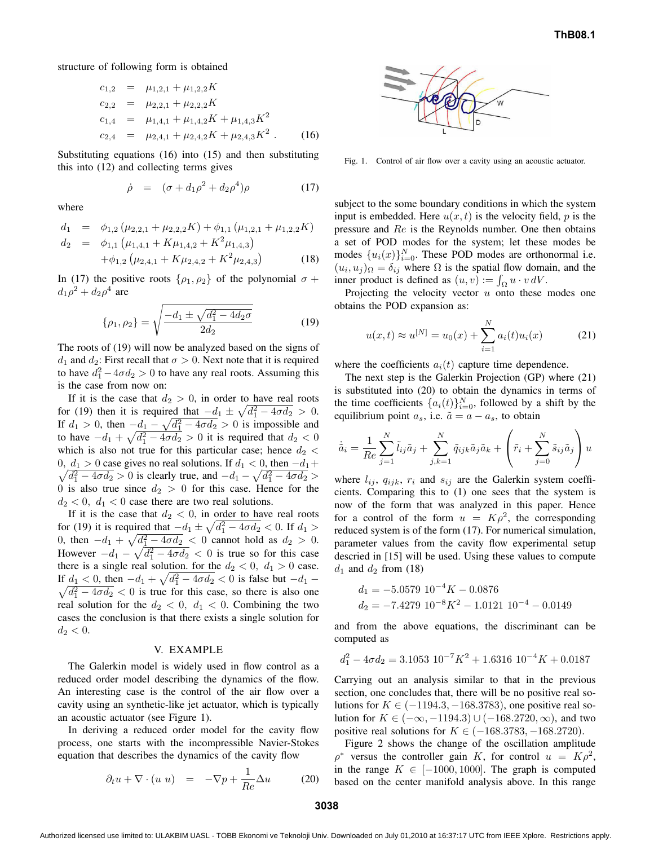structure of following form is obtained

$$
c_{1,2} = \mu_{1,2,1} + \mu_{1,2,2}K
$$
  
\n
$$
c_{2,2} = \mu_{2,2,1} + \mu_{2,2,2}K
$$
  
\n
$$
c_{1,4} = \mu_{1,4,1} + \mu_{1,4,2}K + \mu_{1,4,3}K^2
$$
  
\n
$$
c_{2,4} = \mu_{2,4,1} + \mu_{2,4,2}K + \mu_{2,4,3}K^2
$$
 (16)

Substituting equations (16) into (15) and then substituting this into (12) and collecting terms gives

$$
\dot{\rho} = (\sigma + d_1 \rho^2 + d_2 \rho^4) \rho \tag{17}
$$

where

$$
d_1 = \phi_{1,2} \left( \mu_{2,2,1} + \mu_{2,2,2} K \right) + \phi_{1,1} \left( \mu_{1,2,1} + \mu_{1,2,2} K \right)
$$

$$
d_2 \;\; = \;\; \phi_{1,1} \left( \mu_{1,4,1} + K \mu_{1,4,2} + K^2 \mu_{1,4,3} \right)
$$

$$
+\phi_{1,2}\left(\mu_{2,4,1} + K\mu_{2,4,2} + K^2\mu_{2,4,3}\right) \tag{18}
$$

In (17) the positive roots  $\{\rho_1, \rho_2\}$  of the polynomial  $\sigma$  +  $d_1\rho^2 + d_2\rho^4$  are

$$
\{\rho_1, \rho_2\} = \sqrt{\frac{-d_1 \pm \sqrt{d_1^2 - 4d_2\sigma}}{2d_2}}\tag{19}
$$

The roots of (19) will now be analyzed based on the signs of  $d_1$  and  $d_2$ : First recall that  $\sigma > 0$ . Next note that it is required to have  $d_1^2 - 4\sigma d_2 > 0$  to have any real roots. Assuming this is the case from now on:

If it is the case that  $d_2 > 0$ , in order to have real roots for (19) then it is required that  $-d_1 \pm \sqrt{d_1^2 - 4\sigma d_2} > 0$ . If  $d_1 > 0$ , then  $-\underline{d_1} - \sqrt{\overline{d_1^2} - 4\sigma \overline{d_2}} > 0$  is impossible and to have  $-d_1 + \sqrt{d_1^2 - 4\sigma d_2} > 0$  it is required that  $d_2 < 0$ which is also not true for this particular case; hence  $d_2$  < 0,  $d_1 > 0$  case gives no real solutions. If  $d_1 < 0$ , then  $-d_1 +$ 0,  $d_1 > 0$  case gives no real solutions. If  $d_1 < 0$ , then  $-d_1 + \sqrt{d_1^2 - 4\sigma d_2} > 0$  is clearly true, and  $-d_1 - \sqrt{d_1^2 - 4\sigma d_2} > 0$ 0 is also true since  $d_2 > 0$  for this case. Hence for the  $d_2 < 0$ ,  $d_1 < 0$  case there are two real solutions.

If it is the case that  $d_2 < 0$ , in order to have real roots for (19) it is required that  $-d_1 \pm \sqrt{d_1^2 - 4\sigma d_2} < 0$ . If  $d_1 >$ 0, then  $-d_1 + \sqrt{d_1^2 - 4\sigma d_2} < 0$  cannot hold as  $d_2 > 0$ . However  $-d_1 - \sqrt{d_1^2 - 4\sigma d_2} < 0$  is true so for this case there is a single real solution. for the  $d_2 < 0$ ,  $d_1 > 0$  case. If  $d_1 < 0$ , then  $-d_1 + \sqrt{d_1^2 - 4\sigma d_2} < 0$  is false but  $-d_1$  –  $\sqrt{d_1^2 - 4\sigma d_2} < 0$  is true for this case, so there is also one real solution for the  $d_2 < 0$ ,  $d_1 < 0$ . Combining the two cases the conclusion is that there exists a single solution for  $d_2 < 0.$ 

#### V. EXAMPLE

The Galerkin model is widely used in flow control as a reduced order model describing the dynamics of the flow. An interesting case is the control of the air flow over a cavity using an synthetic-like jet actuator, which is typically an acoustic actuator (see Figure 1).

In deriving a reduced order model for the cavity flow process, one starts with the incompressible Navier-Stokes equation that describes the dynamics of the cavity flow

$$
\partial_t u + \nabla \cdot (u \ u) = -\nabla p + \frac{1}{Re} \Delta u \tag{20}
$$



Fig. 1. Control of air flow over a cavity using an acoustic actuator.

subject to the some boundary conditions in which the system input is embedded. Here  $u(x, t)$  is the velocity field, p is the pressure and Re is the Reynolds number. One then obtains a set of POD modes for the system; let these modes be modes  $\{u_i(x)\}_{i=0}^N$ . These POD modes are orthonormal i.e.  $(u_i, u_j)_{\Omega} = \delta_{ij}$  where  $\Omega$  is the spatial flow domain, and the inner product is defined as  $(u, v) := \int_{\Omega} u \cdot v dV$ .

Projecting the velocity vector  $u$  onto these modes one obtains the POD expansion as:

$$
u(x,t) \approx u^{[N]} = u_0(x) + \sum_{i=1}^{N} a_i(t)u_i(x)
$$
 (21)

where the coefficients  $a_i(t)$  capture time dependence.

The next step is the Galerkin Projection (GP) where (21) is substituted into (20) to obtain the dynamics in terms of the time coefficients  $\{a_i(t)\}_{i=0}^N$ , followed by a shift by the equilibrium point  $a_s$ , i.e.  $\tilde{a} = a - a_s$ , to obtain

$$
\dot{\tilde{a}}_i = \frac{1}{Re} \sum_{j=1}^N \tilde{l}_{ij} \tilde{a}_j + \sum_{j,k=1}^N \tilde{q}_{ijk} \tilde{a}_j \tilde{a}_k + \left(\tilde{r}_i + \sum_{j=0}^N \tilde{s}_{ij} \tilde{a}_j\right) u
$$

where  $l_{ij}$ ,  $q_{ijk}$ ,  $r_i$  and  $s_{ij}$  are the Galerkin system coefficients. Comparing this to (1) one sees that the system is now of the form that was analyzed in this paper. Hence for a control of the form  $u = K \rho^2$ , the corresponding reduced system is of the form (17). For numerical simulation, parameter values from the cavity flow experimental setup descried in [15] will be used. Using these values to compute  $d_1$  and  $d_2$  from (18)

$$
d_1 = -5.0579 \ 10^{-4} K - 0.0876
$$
  

$$
d_2 = -7.4279 \ 10^{-8} K^2 - 1.0121 \ 10^{-4} - 0.0149
$$

and from the above equations, the discriminant can be computed as

$$
d_1^2 - 4\sigma d_2 = 3.1053 \ 10^{-7} K^2 + 1.6316 \ 10^{-4} K + 0.0187
$$

Carrying out an analysis similar to that in the previous section, one concludes that, there will be no positive real solutions for  $K \in (-1194.3, -168.3783)$ , one positive real solution for  $K \in (-\infty, -1194.3) \cup (-168.2720, \infty)$ , and two positive real solutions for  $K \in (-168.3783, -168.2720)$ .

Figure 2 shows the change of the oscillation amplitude  $\rho^*$  versus the controller gain K, for control  $u = K \rho^2$ , in the range  $K \in [-1000, 1000]$ . The graph is computed based on the center manifold analysis above. In this range

Authorized licensed use limited to: ULAKBIM UASL - TOBB Ekonomi ve Teknoloji Univ. Downloaded on July 01,2010 at 16:37:17 UTC from IEEE Xplore. Restrictions apply.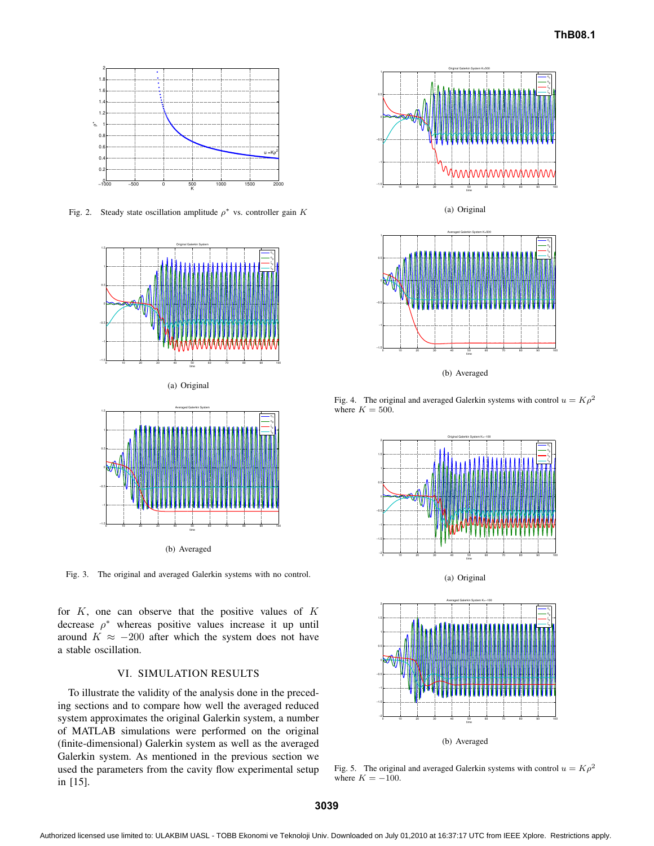

Fig. 2. Steady state oscillation amplitude  $\rho^*$  vs. controller gain K



(a) Original



Fig. 3. The original and averaged Galerkin systems with no control.

for  $K$ , one can observe that the positive values of  $K$ decrease  $\rho^*$  whereas positive values increase it up until around  $K \approx -200$  after which the system does not have a stable oscillation.

## VI. SIMULATION RESULTS

To illustrate the validity of the analysis done in the preceding sections and to compare how well the averaged reduced system approximates the original Galerkin system, a number of MATLAB simulations were performed on the original (finite-dimensional) Galerkin system as well as the averaged Galerkin system. As mentioned in the previous section we used the parameters from the cavity flow experimental setup in [15].



(a) Original



Fig. 4. The original and averaged Galerkin systems with control  $u = K \rho^2$ where  $K = 500$ .



Fig. 5. The original and averaged Galerkin systems with control  $u = K \rho^2$ where  $K = -100$ .